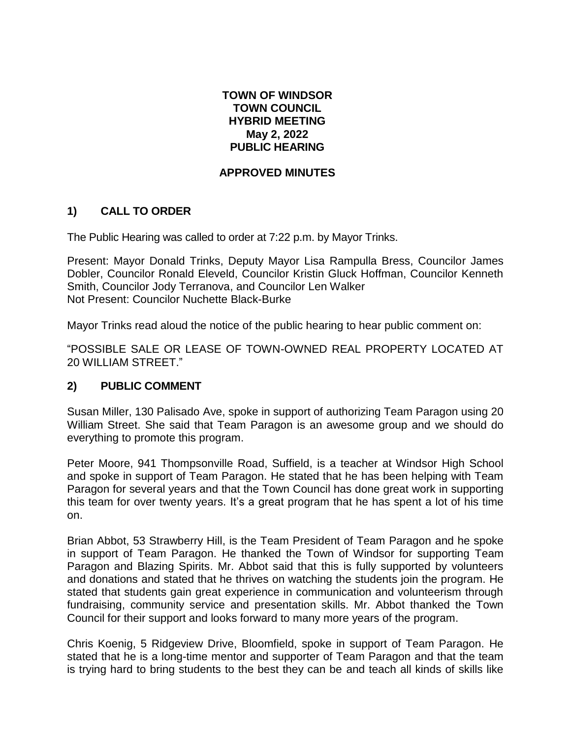## **TOWN OF WINDSOR TOWN COUNCIL HYBRID MEETING May 2, 2022 PUBLIC HEARING**

## **APPROVED MINUTES**

# **1) CALL TO ORDER**

The Public Hearing was called to order at 7:22 p.m. by Mayor Trinks.

Present: Mayor Donald Trinks, Deputy Mayor Lisa Rampulla Bress, Councilor James Dobler, Councilor Ronald Eleveld, Councilor Kristin Gluck Hoffman, Councilor Kenneth Smith, Councilor Jody Terranova, and Councilor Len Walker Not Present: Councilor Nuchette Black-Burke

Mayor Trinks read aloud the notice of the public hearing to hear public comment on:

"POSSIBLE SALE OR LEASE OF TOWN-OWNED REAL PROPERTY LOCATED AT 20 WILLIAM STREET."

## **2) PUBLIC COMMENT**

Susan Miller, 130 Palisado Ave, spoke in support of authorizing Team Paragon using 20 William Street. She said that Team Paragon is an awesome group and we should do everything to promote this program.

Peter Moore, 941 Thompsonville Road, Suffield, is a teacher at Windsor High School and spoke in support of Team Paragon. He stated that he has been helping with Team Paragon for several years and that the Town Council has done great work in supporting this team for over twenty years. It's a great program that he has spent a lot of his time on.

Brian Abbot, 53 Strawberry Hill, is the Team President of Team Paragon and he spoke in support of Team Paragon. He thanked the Town of Windsor for supporting Team Paragon and Blazing Spirits. Mr. Abbot said that this is fully supported by volunteers and donations and stated that he thrives on watching the students join the program. He stated that students gain great experience in communication and volunteerism through fundraising, community service and presentation skills. Mr. Abbot thanked the Town Council for their support and looks forward to many more years of the program.

Chris Koenig, 5 Ridgeview Drive, Bloomfield, spoke in support of Team Paragon. He stated that he is a long-time mentor and supporter of Team Paragon and that the team is trying hard to bring students to the best they can be and teach all kinds of skills like